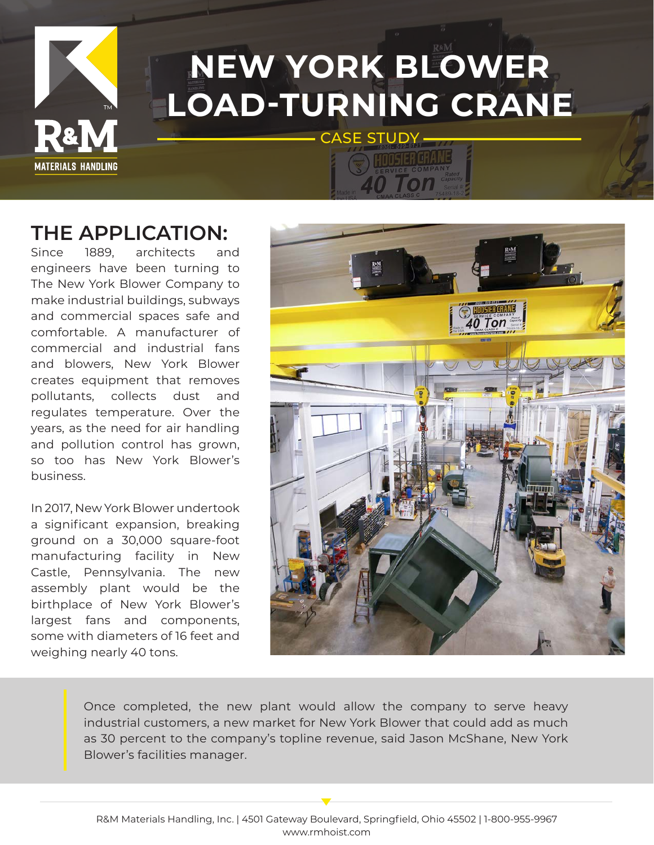

### **NEW YORK BLOWER LOAD-TURNING CRANE** CASE STUDY -

### **THE APPLICATION:**

Since 1889, architects and engineers have been turning to The New York Blower Company to make industrial buildings, subways and commercial spaces safe and comfortable. A manufacturer of commercial and industrial fans and blowers, New York Blower creates equipment that removes pollutants, collects dust and regulates temperature. Over the years, as the need for air handling and pollution control has grown, so too has New York Blower's business.

In 2017, New York Blower undertook a significant expansion, breaking ground on a 30,000 square-foot manufacturing facility in New Castle, Pennsylvania. The new assembly plant would be the birthplace of New York Blower's largest fans and components, some with diameters of 16 feet and weighing nearly 40 tons.



Once completed, the new plant would allow the company to serve heavy industrial customers, a new market for New York Blower that could add as much as 30 percent to the company's topline revenue, said Jason McShane, New York Blower's facilities manager.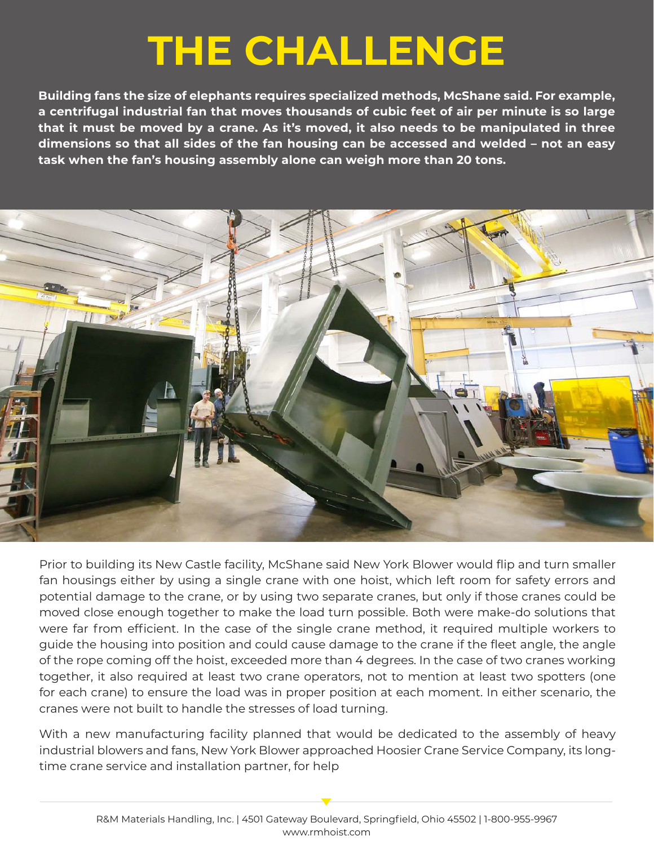## **THE CHALLENGE**

**Building fans the size of elephants requires specialized methods, McShane said. For example, a centrifugal industrial fan that moves thousands of cubic feet of air per minute is so large that it must be moved by a crane. As it's moved, it also needs to be manipulated in three dimensions so that all sides of the fan housing can be accessed and welded – not an easy task when the fan's housing assembly alone can weigh more than 20 tons.**



Prior to building its New Castle facility, McShane said New York Blower would flip and turn smaller fan housings either by using a single crane with one hoist, which left room for safety errors and potential damage to the crane, or by using two separate cranes, but only if those cranes could be moved close enough together to make the load turn possible. Both were make-do solutions that were far from efficient. In the case of the single crane method, it required multiple workers to guide the housing into position and could cause damage to the crane if the fleet angle, the angle of the rope coming off the hoist, exceeded more than 4 degrees. In the case of two cranes working together, it also required at least two crane operators, not to mention at least two spotters (one for each crane) to ensure the load was in proper position at each moment. In either scenario, the cranes were not built to handle the stresses of load turning.

With a new manufacturing facility planned that would be dedicated to the assembly of heavy industrial blowers and fans, New York Blower approached Hoosier Crane Service Company, its longtime crane service and installation partner, for help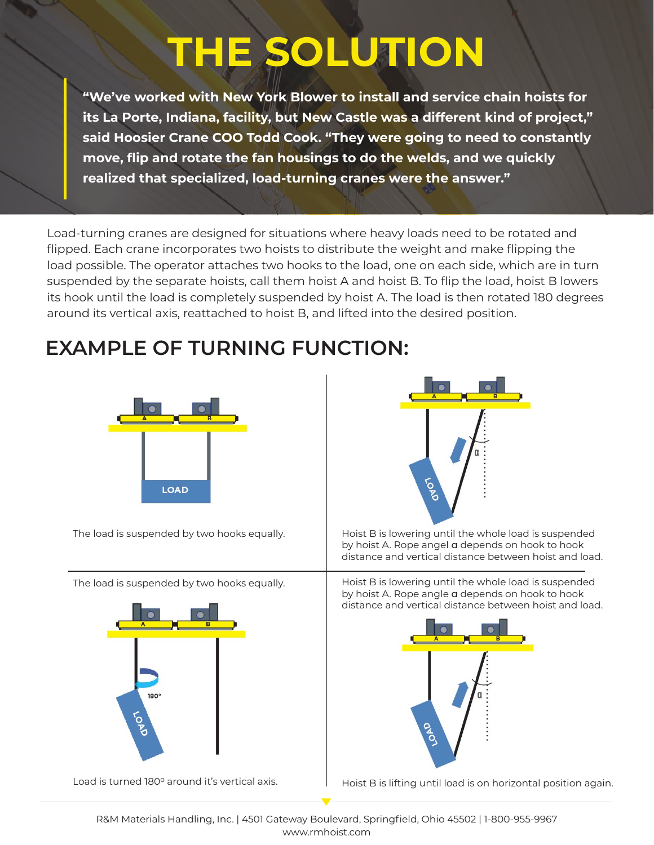# **THE SOLUTION**

**"We've worked with New York Blower to install and service chain hoists for its La Porte, Indiana, facility, but New Castle was a different kind of project," said Hoosier Crane COO Todd Cook. "They were going to need to constantly move, flip and rotate the fan housings to do the welds, and we quickly realized that specialized, load-turning cranes were the answer."**

Load-turning cranes are designed for situations where heavy loads need to be rotated and flipped. Each crane incorporates two hoists to distribute the weight and make flipping the load possible. The operator attaches two hooks to the load, one on each side, which are in turn suspended by the separate hoists, call them hoist A and hoist B. To flip the load, hoist B lowers its hook until the load is completely suspended by hoist A. The load is then rotated 180 degrees around its vertical axis, reattached to hoist B, and lifted into the desired position.

### **EXAMPLE OF TURNING FUNCTION:**



The load is suspended by two hooks equally.

The load is suspended by two hooks equally.



Load is turned 180° around it's vertical axis.



Hoist B is lowering until the whole load is suspended by hoist A. Rope angel a depends on hook to hook distance and vertical distance between hoist and load.

Hoist B is lowering until the whole load is suspended by hoist A. Rope angle a depends on hook to hook distance and vertical distance between hoist and load.



Hoist B is lifting until load is on horizontal position again.

R&M Materials Handling, Inc. | 4501 Gateway Boulevard, Springfield, Ohio 45502 | 1-800-955-9967 www.rmhoist.com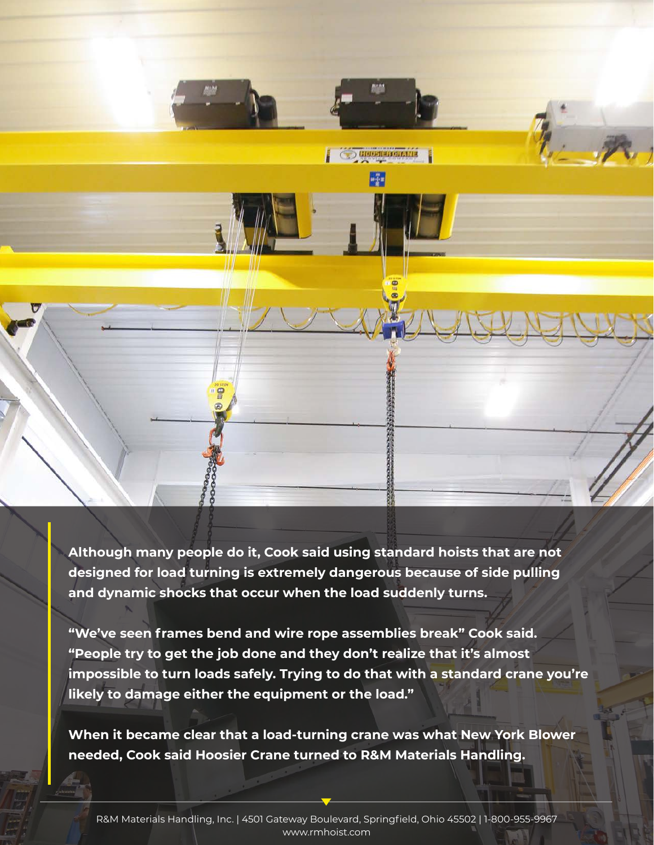

**Although many people do it, Cook said using standard hoists that are not designed for load turning is extremely dangerous because of side pulling and dynamic shocks that occur when the load suddenly turns.** 

**"We've seen frames bend and wire rope assemblies break" Cook said. "People try to get the job done and they don't realize that it's almost impossible to turn loads safely. Trying to do that with a standard crane you're likely to damage either the equipment or the load."**

**When it became clear that a load-turning crane was what New York Blower needed, Cook said Hoosier Crane turned to R&M Materials Handling.**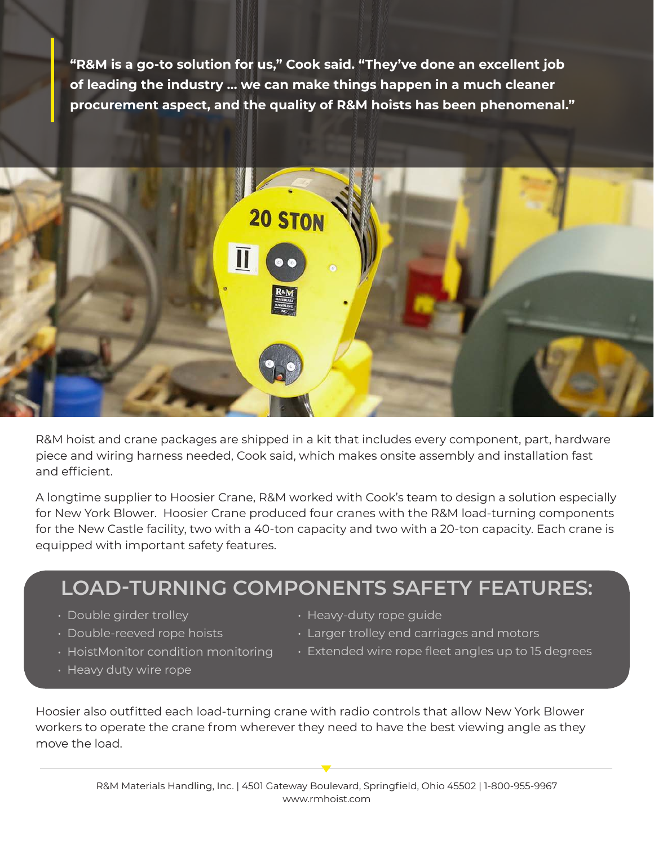**"R&M is a go-to solution for us," Cook said. "They've done an excellent job of leading the industry … we can make things happen in a much cleaner procurement aspect, and the quality of R&M hoists has been phenomenal."**



R&M hoist and crane packages are shipped in a kit that includes every component, part, hardware piece and wiring harness needed, Cook said, which makes onsite assembly and installation fast and efficient.

A longtime supplier to Hoosier Crane, R&M worked with Cook's team to design a solution especially for New York Blower. Hoosier Crane produced four cranes with the R&M load-turning components for the New Castle facility, two with a 40-ton capacity and two with a 20-ton capacity. Each crane is equipped with important safety features.

### **LOAD-TURNING COMPONENTS SAFETY FEATURES:**

- Double girder trolley
- Double-reeved rope hoists
- HoistMonitor condition monitoring
- Heavy duty wire rope
- Heavy-duty rope guide
- Larger trolley end carriages and motors
- Extended wire rope fleet angles up to 15 degrees

Hoosier also outfitted each load-turning crane with radio controls that allow New York Blower workers to operate the crane from wherever they need to have the best viewing angle as they move the load.